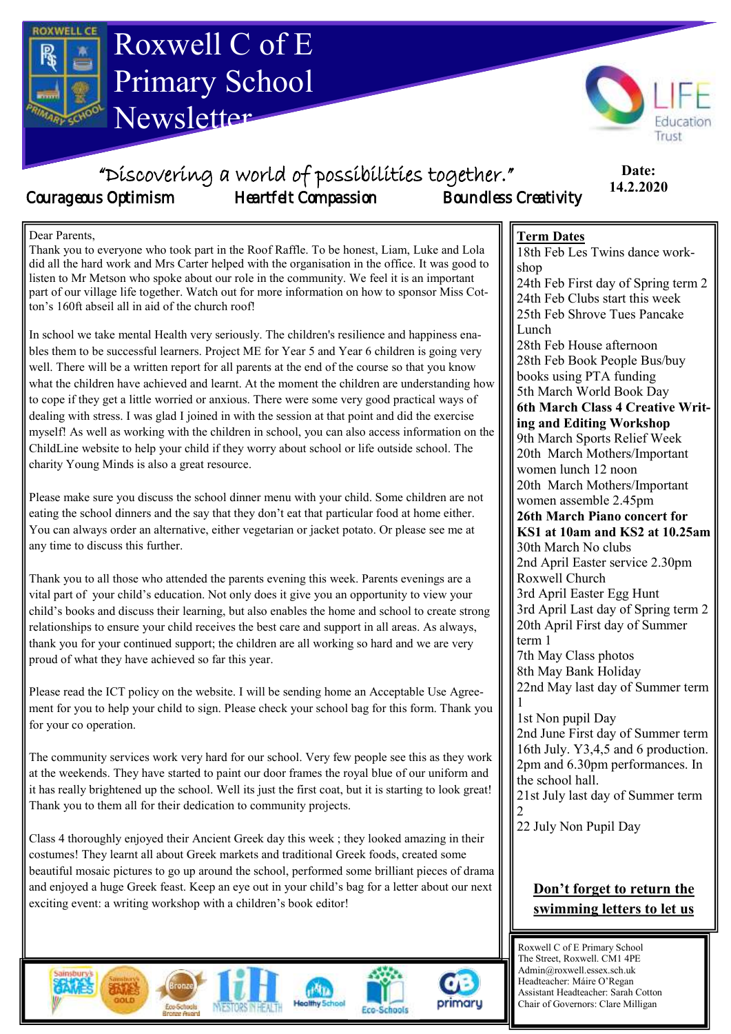



**Date: 7.2.2020**

## "Discovering a world of possibilities together." Courageous Optimism Heartfelt Compassion Boundless Creativity

#### **Date: 14.2.2020**

#### Dear Parents,

Thank you to everyone who took part in the Roof Raffle. To be honest, Liam, Luke and Lola did all the hard work and Mrs Carter helped with the organisation in the office. It was good to listen to Mr Metson who spoke about our role in the community. We feel it is an important part of our village life together. Watch out for more information on how to sponsor Miss Cotton's 160ft abseil all in aid of the church roof!

In school we take mental Health very seriously. The children's resilience and happiness enables them to be successful learners. Project ME for Year 5 and Year 6 children is going very well. There will be a written report for all parents at the end of the course so that you know what the children have achieved and learnt. At the moment the children are understanding how to cope if they get a little worried or anxious. There were some very good practical ways of dealing with stress. I was glad I joined in with the session at that point and did the exercise myself! As well as working with the children in school, you can also access information on the ChildLine website to help your child if they worry about school or life outside school. The charity Young Minds is also a great resource.

Please make sure you discuss the school dinner menu with your child. Some children are not eating the school dinners and the say that they don't eat that particular food at home either. You can always order an alternative, either vegetarian or jacket potato. Or please see me at any time to discuss this further.

Thank you to all those who attended the parents evening this week. Parents evenings are a vital part of your child's education. Not only does it give you an opportunity to view your child's books and discuss their learning, but also enables the home and school to create strong relationships to ensure your child receives the best care and support in all areas. As always, thank you for your continued support; the children are all working so hard and we are very proud of what they have achieved so far this year.

Please read the ICT policy on the website. I will be sending home an Acceptable Use Agreement for you to help your child to sign. Please check your school bag for this form. Thank you for your co operation.

The community services work very hard for our school. Very few people see this as they work at the weekends. They have started to paint our door frames the royal blue of our uniform and it has really brightened up the school. Well its just the first coat, but it is starting to look great! Thank you to them all for their dedication to community projects.

Class 4 thoroughly enjoyed their Ancient Greek day this week ; they looked amazing in their costumes! They learnt all about Greek markets and traditional Greek foods, created some beautiful mosaic pictures to go up around the school, performed some brilliant pieces of drama and enjoyed a huge Greek feast. Keep an eye out in your child's bag for a letter about our next exciting event: a writing workshop with a children's book editor!







25th Feb Shrove Tues Pancake Lunch 28th Feb House afternoon 28th Feb Book People Bus/buy books using PTA funding 5th March World Book Day **6th March Class 4 Creative Writing and Editing Workshop** 9th March Sports Relief Week 20th March Mothers/Important women lunch 12 noon 20th March Mothers/Important women assemble 2.45pm **26th March Piano concert for** 

18th Feb Les Twins dance work-

24th Feb First day of Spring term 2 24th Feb Clubs start this week

**Term Dates**

shop

**KS1 at 10am and KS2 at 10.25am** 30th March No clubs 2nd April Easter service 2.30pm Roxwell Church 3rd April Easter Egg Hunt 3rd April Last day of Spring term 2 20th April First day of Summer term 1 7th May Class photos

8th May Bank Holiday 22nd May last day of Summer term 1

1st Non pupil Day 2nd June First day of Summer term 16th July. Y3,4,5 and 6 production. 2pm and 6.30pm performances. In the school hall. 21st July last day of Summer term

2

22 July Non Pupil Day

#### **Don't forget to return the swimming letters to let us**

Roxwell C of E Primary School The Street, Roxwell. CM1 4PE Admin@roxwell.essex.sch.uk Headteacher: Máire O'Regan Assistant Headteacher: Sarah Cotton Chair of Governors: Clare Milligan